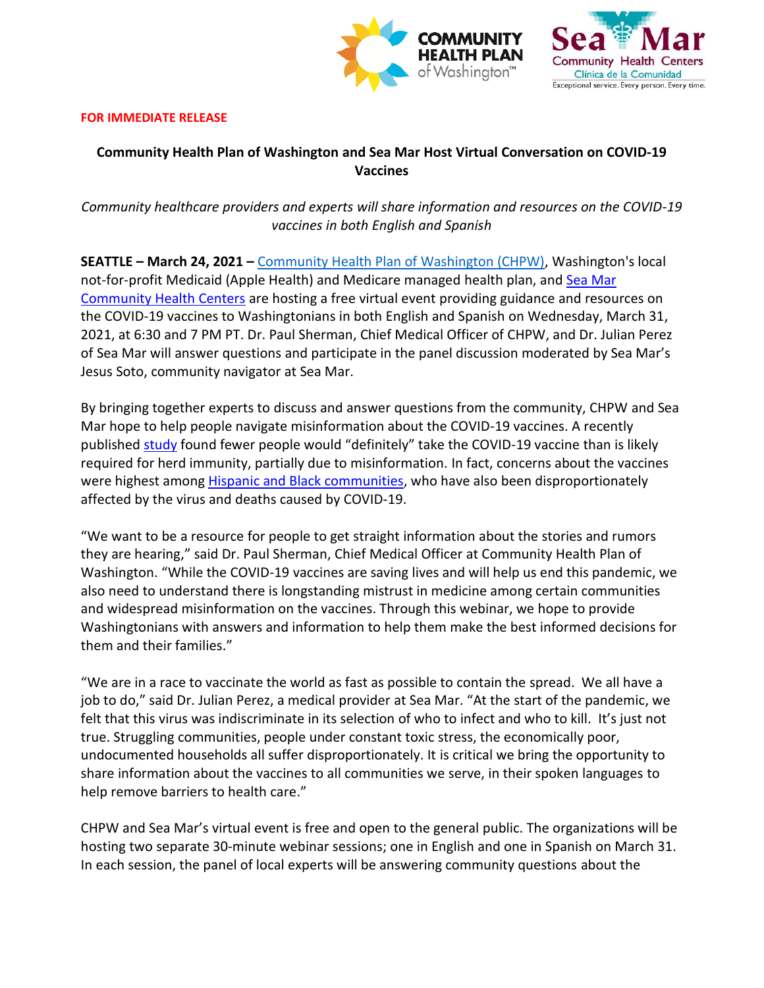



#### **FOR IMMEDIATE RELEASE**

# **Community Health Plan of Washington and Sea Mar Host Virtual Conversation on COVID-19 Vaccines**

*Community healthcare providers and experts will share information and resources on the COVID-19 vaccines in both English and Spanish*

**SEATTLE – March 24, 2021 –** [Community Health Plan of Washington \(CHPW\),](http://www.chpw.org/) Washington's local not-for-profit Medicaid (Apple Health) and Medicare managed health plan, and Sea Mar [Community Health Centers](https://www.seamar.org/) are hosting a free virtual event providing guidance and resources on the COVID-19 vaccines to Washingtonians in both English and Spanish on Wednesday, March 31, 2021, at 6:30 and 7 PM PT. Dr. Paul Sherman, Chief Medical Officer of CHPW, and Dr. Julian Perez of Sea Mar will answer questions and participate in the panel discussion moderated by Sea Mar's Jesus Soto, community navigator at Sea Mar.

By bringing together experts to discuss and answer questions from the community, CHPW and Sea Mar hope to help people navigate misinformation about the COVID-19 vaccines. A recently published [study](https://depts.washington.edu/pandemicalliance/2021/02/08/measuring-the-impact-of-covid-19-vaccine-misinformation-on-vaccination-intent-in-the-uk-and-usa/) found fewer people would "definitely" take the COVID-19 vaccine than is likely required for herd immunity, partially due to misinformation. In fact, concerns about the vaccines were highest among [Hispanic and Black communities,](https://www.kff.org/coronavirus-covid-19/dashboard/kff-covid-19-vaccine-monitor/) who have also been disproportionately affected by the virus and deaths caused by COVID-19.

"We want to be a resource for people to get straight information about the stories and rumors they are hearing," said Dr. Paul Sherman, Chief Medical Officer at Community Health Plan of Washington. "While the COVID-19 vaccines are saving lives and will help us end this pandemic, we also need to understand there is longstanding mistrust in medicine among certain communities and widespread misinformation on the vaccines. Through this webinar, we hope to provide Washingtonians with answers and information to help them make the best informed decisions for them and their families."

"We are in a race to vaccinate the world as fast as possible to contain the spread. We all have a job to do," said Dr. Julian Perez, a medical provider at Sea Mar. "At the start of the pandemic, we felt that this virus was indiscriminate in its selection of who to infect and who to kill. It's just not true. Struggling communities, people under constant toxic stress, the economically poor, undocumented households all suffer disproportionately. It is critical we bring the opportunity to share information about the vaccines to all communities we serve, in their spoken languages to help remove barriers to health care."

CHPW and Sea Mar's virtual event is free and open to the general public. The organizations will be hosting two separate 30-minute webinar sessions; one in English and one in Spanish on March 31. In each session, the panel of local experts will be answering community questions about the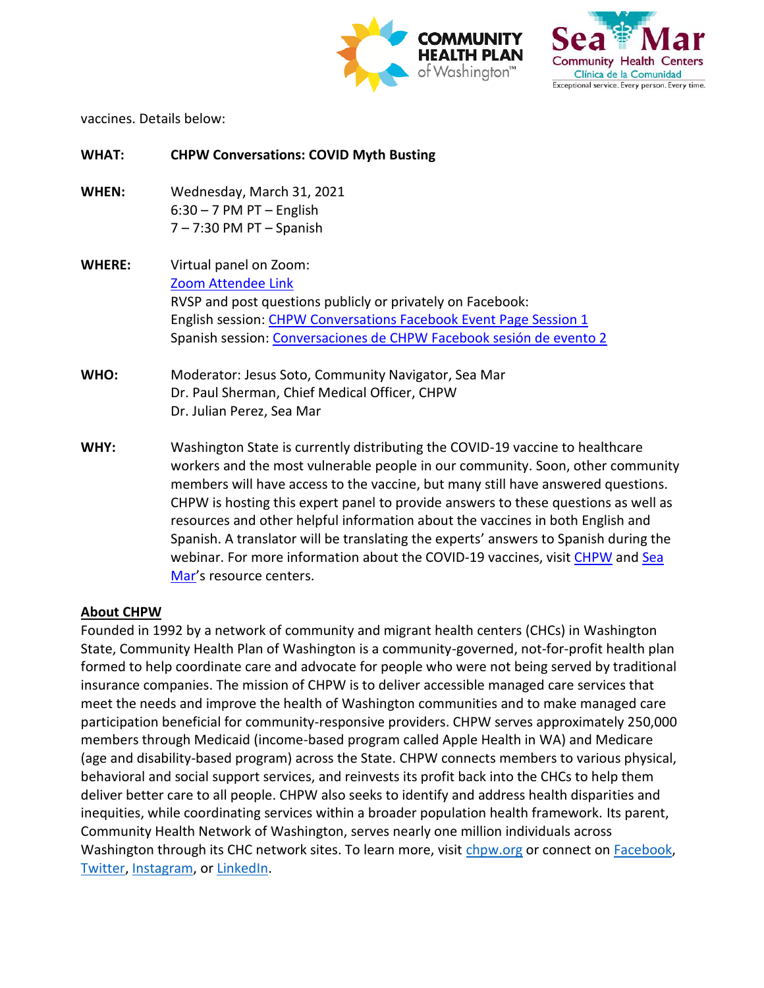



vaccines. Details below:

| <b>WHAT:</b>  | <b>CHPW Conversations: COVID Myth Busting</b>                                        |
|---------------|--------------------------------------------------------------------------------------|
| WHEN:         | Wednesday, March 31, 2021                                                            |
|               | $6:30 - 7$ PM PT - English                                                           |
|               | $7 - 7:30$ PM PT $-$ Spanish                                                         |
| <b>WHERE:</b> | Virtual panel on Zoom:                                                               |
|               | Zoom Attendee Link                                                                   |
|               | RVSP and post questions publicly or privately on Facebook:                           |
|               | English session: CHPW Conversations Facebook Event Page Session 1                    |
|               | Spanish session: Conversaciones de CHPW Facebook sesión de evento 2                  |
| WHO:          | Moderator: Jesus Soto, Community Navigator, Sea Mar                                  |
|               | Dr. Paul Sherman, Chief Medical Officer, CHPW                                        |
|               | Dr. Julian Perez, Sea Mar                                                            |
| WHY:          | Washington State is currently distributing the COVID-19 vaccine to healthcare        |
|               | workers and the most vulnerable people in our community. Soon, other community       |
|               | members will have access to the vaccine, but many still have answered questions.     |
|               | CHPW is hosting this expert panel to provide answers to these questions as well as   |
|               | resources and other helpful information about the vaccines in both English and       |
|               | Spanish. A translator will be translating the experts' answers to Spanish during the |
|               | webinar. For more information about the COVID-19 vaccines, visit CHPW and Sea        |
|               | Mar's resource centers.                                                              |

### **About CHPW**

Founded in 1992 by a network of community and migrant health centers (CHCs) in Washington State, Community Health Plan of Washington is a community-governed, not-for-profit health plan formed to help coordinate care and advocate for people who were not being served by traditional insurance companies. The mission of CHPW is to deliver accessible managed care services that meet the needs and improve the health of Washington communities and to make managed care participation beneficial for community-responsive providers. CHPW serves approximately 250,000 members through Medicaid (income-based program called Apple Health in WA) and Medicare (age and disability-based program) across the State. CHPW connects members to various physical, behavioral and social support services, and reinvests its profit back into the CHCs to help them deliver better care to all people. CHPW also seeks to identify and address health disparities and inequities, while coordinating services within a broader population health framework. Its parent, Community Health Network of Washington, serves nearly one million individuals across Washington through its CHC network sites. To learn more, visit [chpw.org](https://www.chpw.org/) or connect on **Facebook**, [Twitter,](https://twitter.com/myCHPW) [Instagram,](https://www.instagram.com/mychpw/) or [LinkedIn.](https://www.linkedin.com/company/community-health-plan)